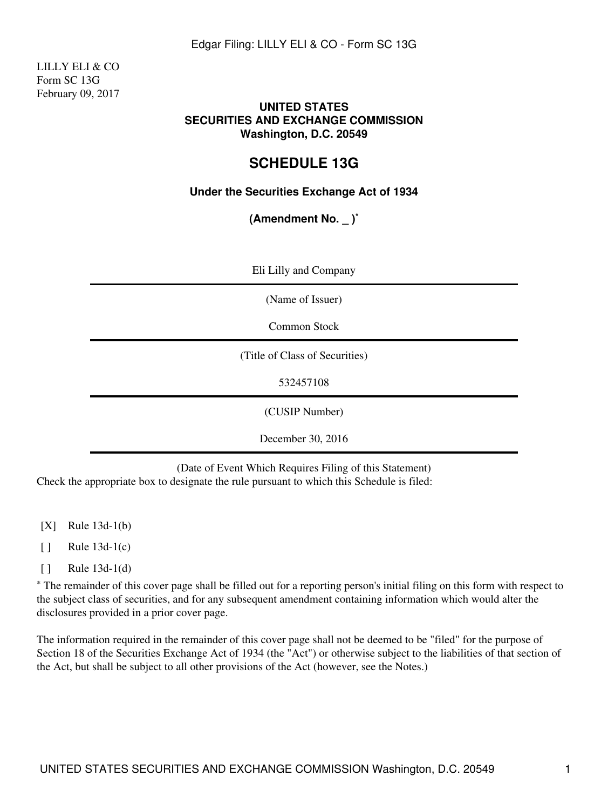LILLY ELI & CO Form SC 13G February 09, 2017

#### **UNITED STATES SECURITIES AND EXCHANGE COMMISSION Washington, D.C. 20549**

## **SCHEDULE 13G**

### **Under the Securities Exchange Act of 1934**

**(Amendment No. \_ )\***

| Eli Lilly and Company          |
|--------------------------------|
| (Name of Issuer)               |
| Common Stock                   |
| (Title of Class of Securities) |
| 532457108                      |
| (CUSIP Number)                 |
| December 30, 2016              |

(Date of Event Which Requires Filing of this Statement) Check the appropriate box to designate the rule pursuant to which this Schedule is filed:

- [X] Rule 13d-1(b)
- $\lceil \cdot \rceil$  Rule 13d-1(c)
- [ ] Rule 13d-1(d)

\* The remainder of this cover page shall be filled out for a reporting person's initial filing on this form with respect to the subject class of securities, and for any subsequent amendment containing information which would alter the disclosures provided in a prior cover page.

The information required in the remainder of this cover page shall not be deemed to be "filed" for the purpose of Section 18 of the Securities Exchange Act of 1934 (the "Act") or otherwise subject to the liabilities of that section of the Act, but shall be subject to all other provisions of the Act (however, see the Notes.)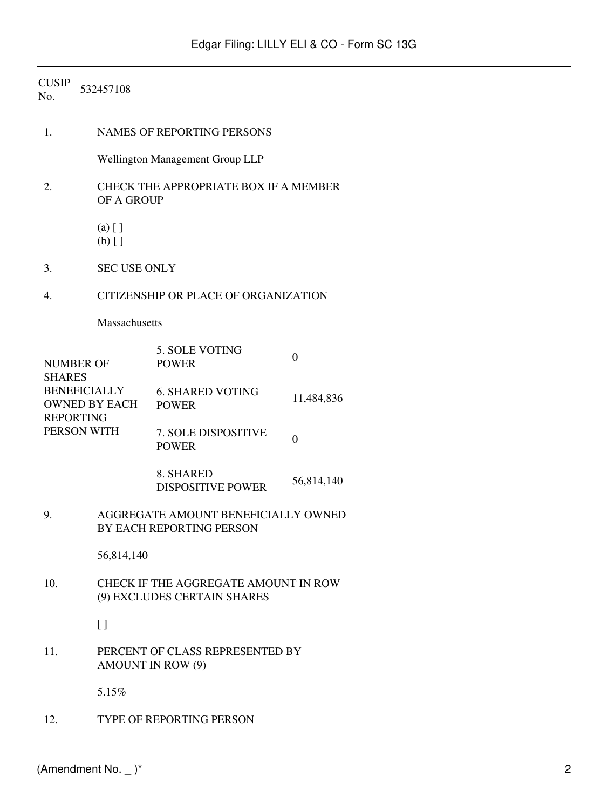# CUSIP No. <sup>532457108</sup>

| 1.                                                              | <b>NAMES OF REPORTING PERSONS</b>                                   |                                         |                |  |  |
|-----------------------------------------------------------------|---------------------------------------------------------------------|-----------------------------------------|----------------|--|--|
|                                                                 | Wellington Management Group LLP                                     |                                         |                |  |  |
| 2.                                                              | CHECK THE APPROPRIATE BOX IF A MEMBER<br>OF A GROUP                 |                                         |                |  |  |
|                                                                 | $(a)$ []<br>$(b)$ []                                                |                                         |                |  |  |
| 3.                                                              | <b>SEC USE ONLY</b>                                                 |                                         |                |  |  |
| 4.                                                              | CITIZENSHIP OR PLACE OF ORGANIZATION                                |                                         |                |  |  |
|                                                                 | Massachusetts                                                       |                                         |                |  |  |
| NUMBER OF<br><b>SHARES</b>                                      |                                                                     | 5. SOLE VOTING<br><b>POWER</b>          | $\overline{0}$ |  |  |
| <b>BENEFICIALLY</b><br><b>OWNED BY EACH</b><br><b>REPORTING</b> |                                                                     | <b>6. SHARED VOTING</b><br><b>POWER</b> | 11,484,836     |  |  |
| PERSON WITH                                                     |                                                                     | 7. SOLE DISPOSITIVE<br><b>POWER</b>     | $\mathbf{0}$   |  |  |
|                                                                 |                                                                     | 8. SHARED<br><b>DISPOSITIVE POWER</b>   | 56,814,140     |  |  |
| 9.                                                              | AGGREGATE AMOUNT BENEFICIALLY OWNED<br>BY EACH REPORTING PERSON     |                                         |                |  |  |
|                                                                 | 56,814,140                                                          |                                         |                |  |  |
| 10.                                                             | CHECK IF THE AGGREGATE AMOUNT IN ROW<br>(9) EXCLUDES CERTAIN SHARES |                                         |                |  |  |
|                                                                 | $\left[ \ \right]$                                                  |                                         |                |  |  |
| 11.                                                             | PERCENT OF CLASS REPRESENTED BY<br><b>AMOUNT IN ROW (9)</b>         |                                         |                |  |  |
|                                                                 | 5.15%                                                               |                                         |                |  |  |
| 12.                                                             |                                                                     | TYPE OF REPORTING PERSON                |                |  |  |
|                                                                 |                                                                     |                                         |                |  |  |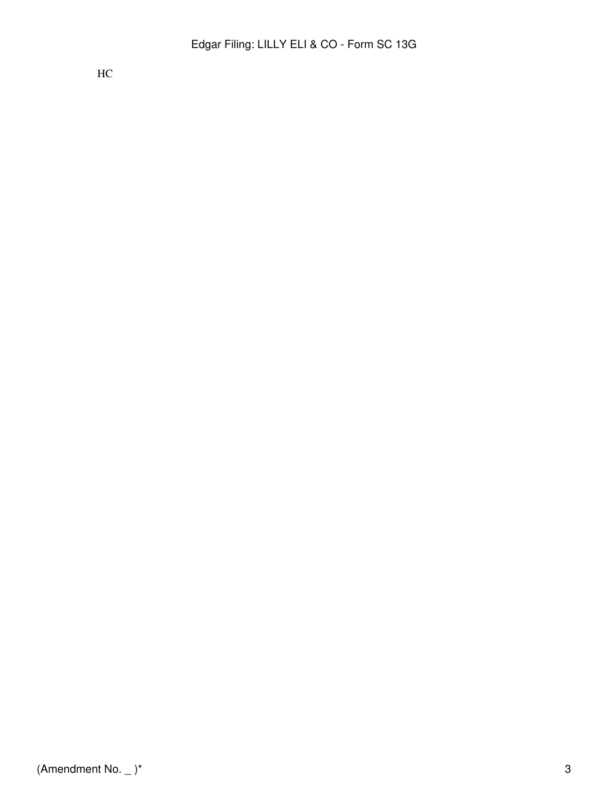$HC$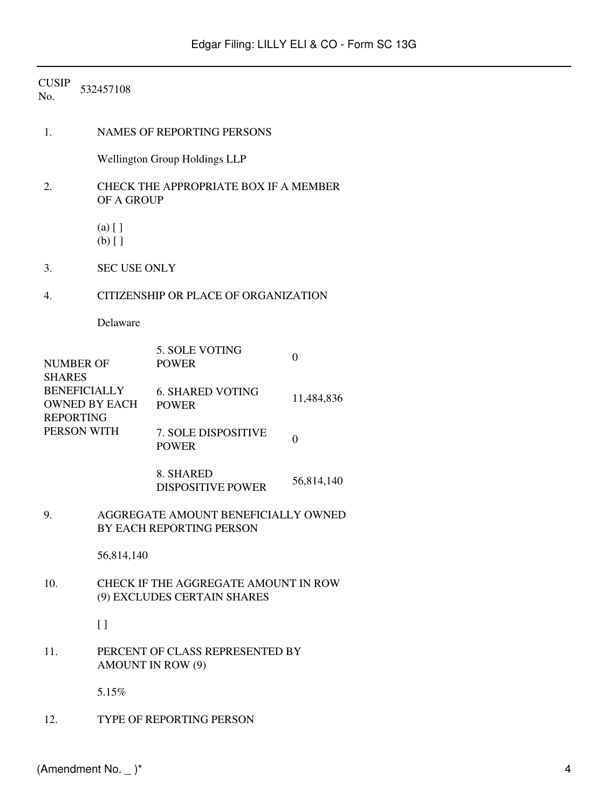| <b>CUSIP</b><br>No. | 532457108                                                       |                                                                     |              |  |  |  |
|---------------------|-----------------------------------------------------------------|---------------------------------------------------------------------|--------------|--|--|--|
| 1.                  |                                                                 | <b>NAMES OF REPORTING PERSONS</b>                                   |              |  |  |  |
|                     |                                                                 | <b>Wellington Group Holdings LLP</b>                                |              |  |  |  |
| 2.                  |                                                                 | CHECK THE APPROPRIATE BOX IF A MEMBER<br>OF A GROUP                 |              |  |  |  |
|                     | $(a)$ []<br>$(b)$ []                                            |                                                                     |              |  |  |  |
| 3.                  | <b>SEC USE ONLY</b>                                             |                                                                     |              |  |  |  |
| 4.                  |                                                                 | CITIZENSHIP OR PLACE OF ORGANIZATION                                |              |  |  |  |
|                     | Delaware                                                        |                                                                     |              |  |  |  |
| <b>SHARES</b>       | <b>NUMBER OF</b>                                                | 5. SOLE VOTING<br><b>POWER</b>                                      | $\mathbf{0}$ |  |  |  |
|                     | <b>BENEFICIALLY</b><br><b>OWNED BY EACH</b><br><b>REPORTING</b> | <b>6. SHARED VOTING</b><br><b>POWER</b>                             | 11,484,836   |  |  |  |
|                     | PERSON WITH                                                     | 7. SOLE DISPOSITIVE<br><b>POWER</b>                                 | $\mathbf{0}$ |  |  |  |
|                     |                                                                 | 8. SHARED<br><b>DISPOSITIVE POWER</b>                               | 56,814,140   |  |  |  |
| 9.                  |                                                                 | AGGREGATE AMOUNT BENEFICIALLY OWNED<br>BY EACH REPORTING PERSON     |              |  |  |  |
|                     | 56,814,140                                                      |                                                                     |              |  |  |  |
| 10.                 |                                                                 | CHECK IF THE AGGREGATE AMOUNT IN ROW<br>(9) EXCLUDES CERTAIN SHARES |              |  |  |  |
|                     | $\left[ \ \right]$                                              |                                                                     |              |  |  |  |
| 11.                 |                                                                 | PERCENT OF CLASS REPRESENTED BY<br><b>AMOUNT IN ROW (9)</b>         |              |  |  |  |
|                     | 5.15%                                                           |                                                                     |              |  |  |  |
| 12.                 |                                                                 | TYPE OF REPORTING PERSON                                            |              |  |  |  |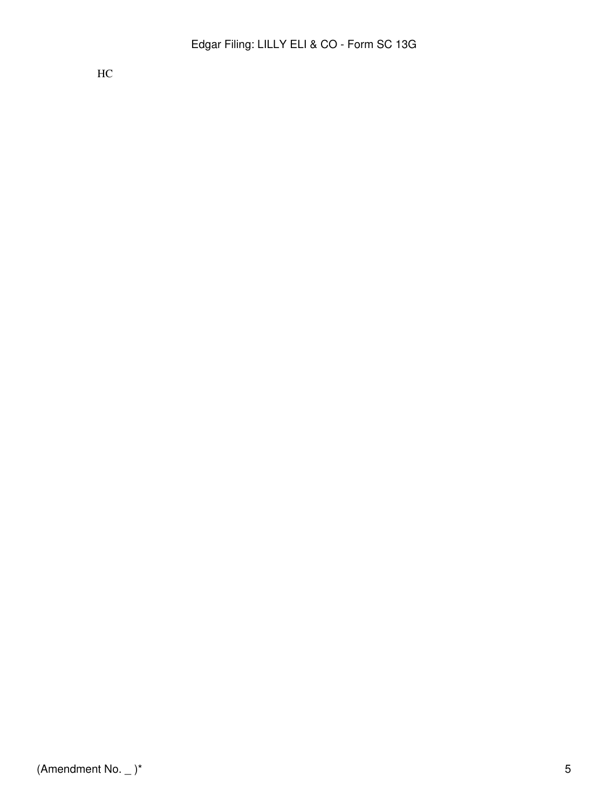HC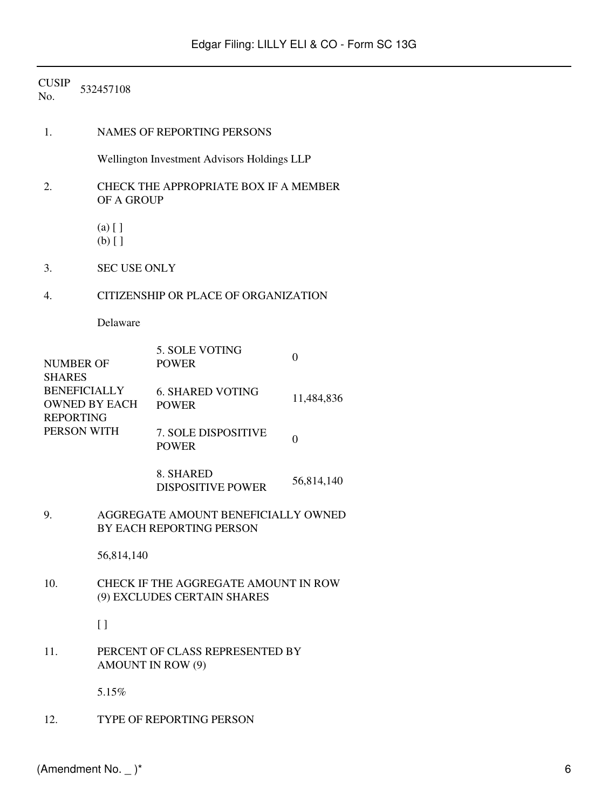# CUSIP No. <sup>532457108</sup>

| 1.<br><b>NAMES OF REPORTING PERSONS</b>    |                                                                     |                                         |                |  |  |
|--------------------------------------------|---------------------------------------------------------------------|-----------------------------------------|----------------|--|--|
|                                            | Wellington Investment Advisors Holdings LLP                         |                                         |                |  |  |
| 2.                                         | CHECK THE APPROPRIATE BOX IF A MEMBER<br>OF A GROUP                 |                                         |                |  |  |
|                                            | $(a)$ []<br>$(b)$ []                                                |                                         |                |  |  |
| 3.                                         | <b>SEC USE ONLY</b>                                                 |                                         |                |  |  |
| CITIZENSHIP OR PLACE OF ORGANIZATION<br>4. |                                                                     |                                         |                |  |  |
|                                            | Delaware                                                            |                                         |                |  |  |
| <b>NUMBER OF</b><br><b>SHARES</b>          |                                                                     | 5. SOLE VOTING<br><b>POWER</b>          | $\overline{0}$ |  |  |
| <b>BENEFICIALLY</b><br><b>REPORTING</b>    | OWNED BY EACH                                                       | <b>6. SHARED VOTING</b><br><b>POWER</b> | 11,484,836     |  |  |
| PERSON WITH                                |                                                                     | 7. SOLE DISPOSITIVE<br><b>POWER</b>     | $\overline{0}$ |  |  |
|                                            |                                                                     | 8. SHARED<br><b>DISPOSITIVE POWER</b>   | 56,814,140     |  |  |
| 9.                                         | AGGREGATE AMOUNT BENEFICIALLY OWNED<br>BY EACH REPORTING PERSON     |                                         |                |  |  |
|                                            | 56,814,140                                                          |                                         |                |  |  |
| 10.                                        | CHECK IF THE AGGREGATE AMOUNT IN ROW<br>(9) EXCLUDES CERTAIN SHARES |                                         |                |  |  |
|                                            | $\left[ \ \right]$                                                  |                                         |                |  |  |
| 11.                                        | PERCENT OF CLASS REPRESENTED BY<br><b>AMOUNT IN ROW (9)</b>         |                                         |                |  |  |
|                                            | 5.15%                                                               |                                         |                |  |  |
|                                            |                                                                     |                                         |                |  |  |

12. TYPE OF REPORTING PERSON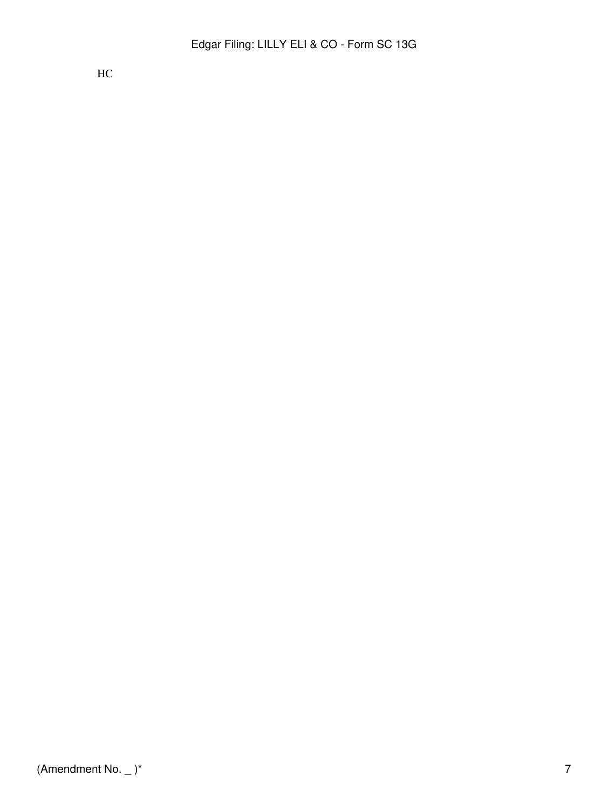$HC$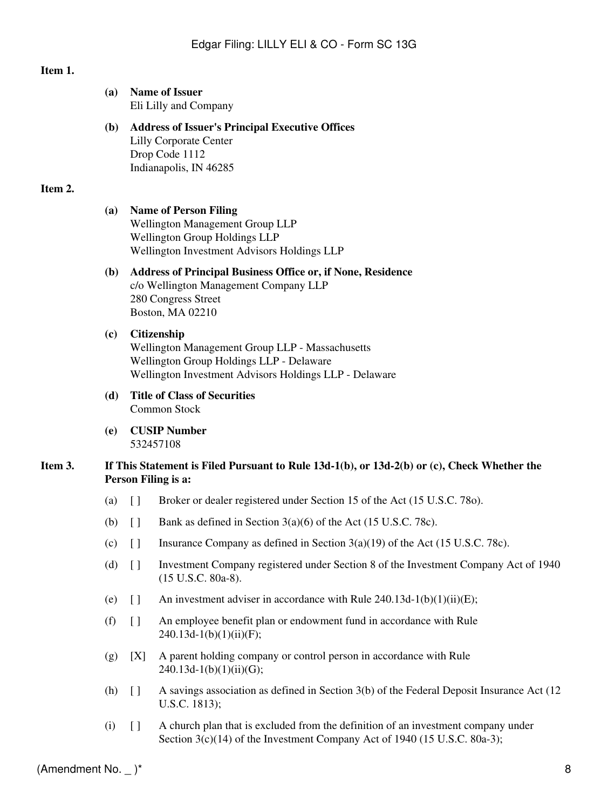## **Item 1.**

|         | (a)        | <b>Name of Issuer</b><br>Eli Lilly and Company                                                                                                                              |                                                                                                                                     |  |  |
|---------|------------|-----------------------------------------------------------------------------------------------------------------------------------------------------------------------------|-------------------------------------------------------------------------------------------------------------------------------------|--|--|
|         | <b>(b)</b> |                                                                                                                                                                             | <b>Address of Issuer's Principal Executive Offices</b><br><b>Lilly Corporate Center</b><br>Drop Code 1112<br>Indianapolis, IN 46285 |  |  |
| Item 2. |            |                                                                                                                                                                             |                                                                                                                                     |  |  |
|         | (a)        | <b>Name of Person Filing</b><br>Wellington Management Group LLP<br>Wellington Group Holdings LLP<br>Wellington Investment Advisors Holdings LLP                             |                                                                                                                                     |  |  |
|         | <b>(b)</b> | <b>Address of Principal Business Office or, if None, Residence</b><br>c/o Wellington Management Company LLP<br>280 Congress Street<br>Boston, MA 02210                      |                                                                                                                                     |  |  |
|         | (c)        | <b>Citizenship</b><br>Wellington Management Group LLP - Massachusetts<br>Wellington Group Holdings LLP - Delaware<br>Wellington Investment Advisors Holdings LLP - Delaware |                                                                                                                                     |  |  |
|         | (d)        | <b>Title of Class of Securities</b><br>Common Stock                                                                                                                         |                                                                                                                                     |  |  |
|         | (e)        |                                                                                                                                                                             | <b>CUSIP Number</b><br>532457108                                                                                                    |  |  |
| Item 3. |            |                                                                                                                                                                             | If This Statement is Filed Pursuant to Rule $13d-1(b)$ , or $13d-2(b)$ or $(c)$ , Check Whether the<br>Person Filing is a:          |  |  |
|         | (a)        | $[ \ ]$                                                                                                                                                                     | Broker or dealer registered under Section 15 of the Act (15 U.S.C. 780).                                                            |  |  |
|         | (b)        | $\begin{array}{c} \square \end{array}$                                                                                                                                      | Bank as defined in Section $3(a)(6)$ of the Act (15 U.S.C. 78c).                                                                    |  |  |
|         | (c)        | $\Box$                                                                                                                                                                      | Insurance Company as defined in Section $3(a)(19)$ of the Act (15 U.S.C. 78c).                                                      |  |  |
|         | (d)        | $[ \ ]$                                                                                                                                                                     | Investment Company registered under Section 8 of the Investment Company Act of 1940<br>(15 U.S.C. 80a-8).                           |  |  |
|         | (e)        | $[ \ ]$                                                                                                                                                                     | An investment adviser in accordance with Rule $240.13d-1(b)(1)(ii)(E)$ ;                                                            |  |  |
|         | (f)        | $[ \ ]$                                                                                                                                                                     | An employee benefit plan or endowment fund in accordance with Rule<br>$240.13d-1(b)(1)(ii)(F);$                                     |  |  |
|         | (g)        | [X]                                                                                                                                                                         | A parent holding company or control person in accordance with Rule<br>$240.13d-1(b)(1)(ii)(G);$                                     |  |  |
|         | (h)        | $[ \ ]$                                                                                                                                                                     | A savings association as defined in Section 3(b) of the Federal Deposit Insurance Act (12)<br>U.S.C. 1813);                         |  |  |
|         | (i)        | $[ \ ]$                                                                                                                                                                     | A church plan that is excluded from the definition of an investment company under                                                   |  |  |

Section 3(c)(14) of the Investment Company Act of 1940 (15 U.S.C. 80a-3);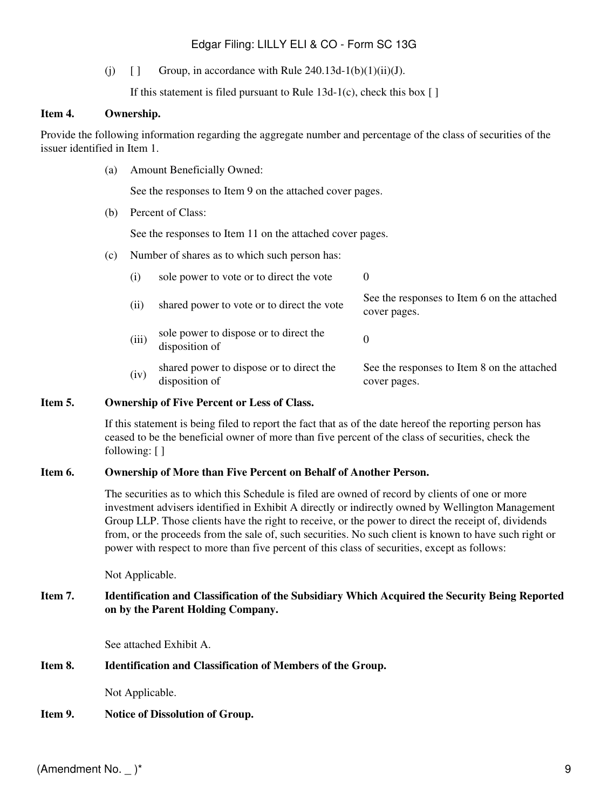### Edgar Filing: LILLY ELI & CO - Form SC 13G

(j)  $\left[ \right]$  Group, in accordance with Rule 240.13d-1(b)(1)(ii)(J).

If this statement is filed pursuant to Rule  $13d-1(c)$ , check this box [ ]

#### **Item 4. Ownership.**

Provide the following information regarding the aggregate number and percentage of the class of securities of the issuer identified in Item 1.

(a) Amount Beneficially Owned:

See the responses to Item 9 on the attached cover pages.

(b) Percent of Class:

See the responses to Item 11 on the attached cover pages.

(c) Number of shares as to which such person has:

| (1)   | sole power to vote or to direct the vote                   | $\theta$                                                    |
|-------|------------------------------------------------------------|-------------------------------------------------------------|
| (11)  | shared power to vote or to direct the vote                 | See the responses to Item 6 on the attached<br>cover pages. |
| (iii) | sole power to dispose or to direct the<br>disposition of   |                                                             |
| (iv)  | shared power to dispose or to direct the<br>disposition of | See the responses to Item 8 on the attached<br>cover pages. |

#### **Item 5. Ownership of Five Percent or Less of Class.**

If this statement is being filed to report the fact that as of the date hereof the reporting person has ceased to be the beneficial owner of more than five percent of the class of securities, check the following: [ ]

#### **Item 6. Ownership of More than Five Percent on Behalf of Another Person.**

The securities as to which this Schedule is filed are owned of record by clients of one or more investment advisers identified in Exhibit A directly or indirectly owned by Wellington Management Group LLP. Those clients have the right to receive, or the power to direct the receipt of, dividends from, or the proceeds from the sale of, such securities. No such client is known to have such right or power with respect to more than five percent of this class of securities, except as follows:

Not Applicable.

#### **Item 7. Identification and Classification of the Subsidiary Which Acquired the Security Being Reported on by the Parent Holding Company.**

See attached Exhibit A.

#### **Item 8. Identification and Classification of Members of the Group.**

Not Applicable.

#### **Item 9. Notice of Dissolution of Group.**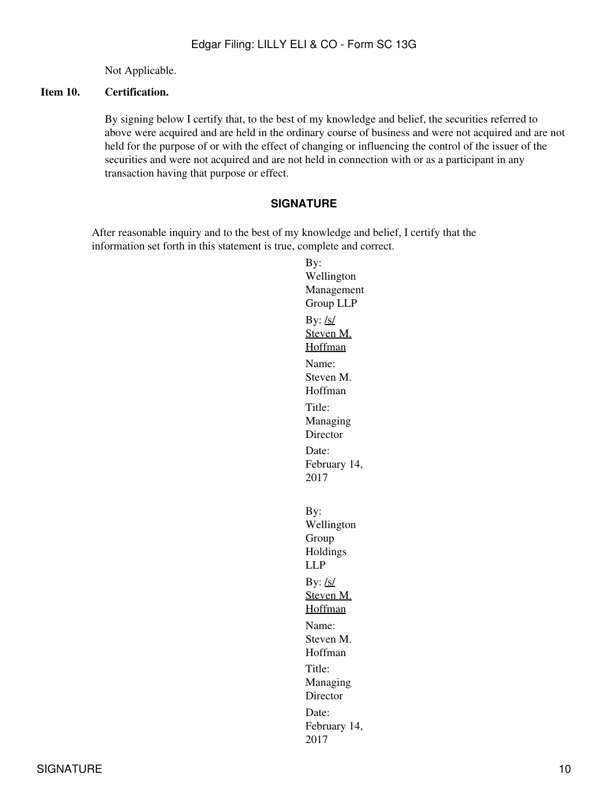Not Applicable.

#### **Item 10. Certification.**

By signing below I certify that, to the best of my knowledge and belief, the securities referred to above were acquired and are held in the ordinary course of business and were not acquired and are not held for the purpose of or with the effect of changing or influencing the control of the issuer of the securities and were not acquired and are not held in connection with or as a participant in any transaction having that purpose or effect.

#### **SIGNATURE**

After reasonable inquiry and to the best of my knowledge and belief, I certify that the information set forth in this statement is true, complete and correct.

By: Wellington Management Group LLP By:  $\frac{\text{ls}}{\text{ls}}$ Steven M. Hoffman Name: Steven M. Hoffman Title: Managing Director Date: February 14, 2017 By: Wellington Group Holdings LLP By:  $/s/$ Steven M. Hoffman Name: Steven M. Hoffman Title: Managing Director Date: February 14, 2017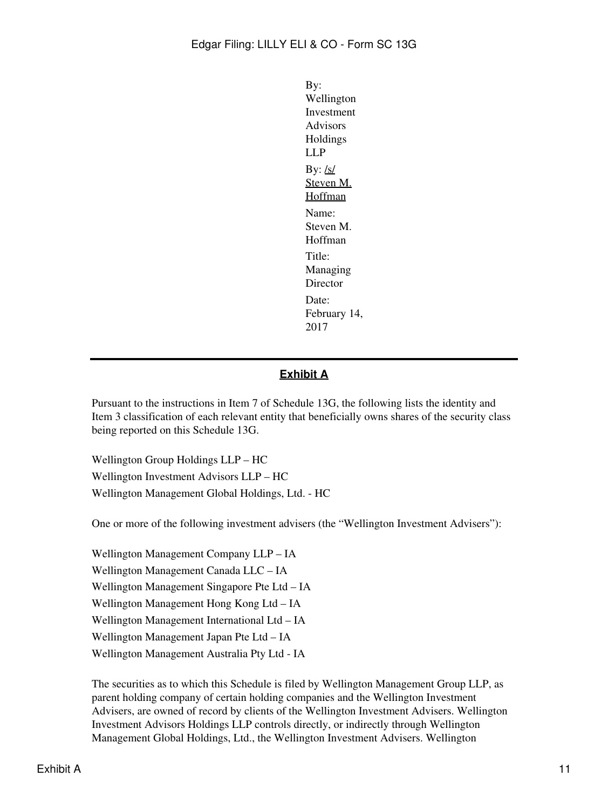By: Wellington Investment Advisors Holdings LLP By:  $/s/$ Steven M. **Hoffman** Name: Steven M. Hoffman Title: Managing Director Date: February 14, 2017

## **Exhibit A**

Pursuant to the instructions in Item 7 of Schedule 13G, the following lists the identity and Item 3 classification of each relevant entity that beneficially owns shares of the security class being reported on this Schedule 13G.

Wellington Group Holdings LLP – HC Wellington Investment Advisors LLP – HC Wellington Management Global Holdings, Ltd. - HC

One or more of the following investment advisers (the "Wellington Investment Advisers"):

Wellington Management Company LLP – IA Wellington Management Canada LLC – IA Wellington Management Singapore Pte Ltd – IA Wellington Management Hong Kong Ltd – IA Wellington Management International Ltd – IA Wellington Management Japan Pte Ltd – IA Wellington Management Australia Pty Ltd - IA

The securities as to which this Schedule is filed by Wellington Management Group LLP, as parent holding company of certain holding companies and the Wellington Investment Advisers, are owned of record by clients of the Wellington Investment Advisers. Wellington Investment Advisors Holdings LLP controls directly, or indirectly through Wellington Management Global Holdings, Ltd., the Wellington Investment Advisers. Wellington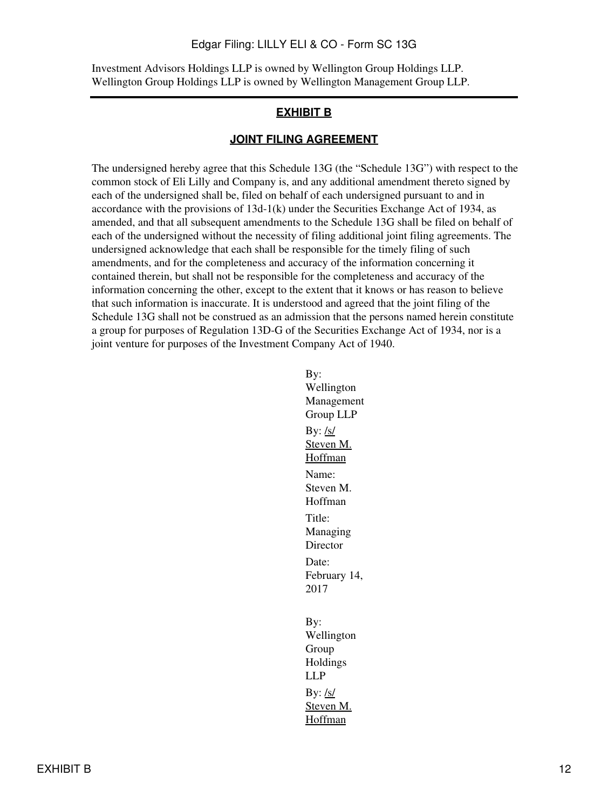#### Edgar Filing: LILLY ELI & CO - Form SC 13G

Investment Advisors Holdings LLP is owned by Wellington Group Holdings LLP. Wellington Group Holdings LLP is owned by Wellington Management Group LLP.

#### **EXHIBIT B**

#### **JOINT FILING AGREEMENT**

The undersigned hereby agree that this Schedule 13G (the "Schedule 13G") with respect to the common stock of Eli Lilly and Company is, and any additional amendment thereto signed by each of the undersigned shall be, filed on behalf of each undersigned pursuant to and in accordance with the provisions of  $13d-1(k)$  under the Securities Exchange Act of 1934, as amended, and that all subsequent amendments to the Schedule 13G shall be filed on behalf of each of the undersigned without the necessity of filing additional joint filing agreements. The undersigned acknowledge that each shall be responsible for the timely filing of such amendments, and for the completeness and accuracy of the information concerning it contained therein, but shall not be responsible for the completeness and accuracy of the information concerning the other, except to the extent that it knows or has reason to believe that such information is inaccurate. It is understood and agreed that the joint filing of the Schedule 13G shall not be construed as an admission that the persons named herein constitute a group for purposes of Regulation 13D-G of the Securities Exchange Act of 1934, nor is a joint venture for purposes of the Investment Company Act of 1940.

> By: Wellington Management Group LLP By:  $/s/$ Steven M. Hoffman Name: Steven M. Hoffman Title: Managing Director Date: February 14, 2017 By: Wellington Group Holdings LLP By:  $/s/$ Steven M. Hoffman